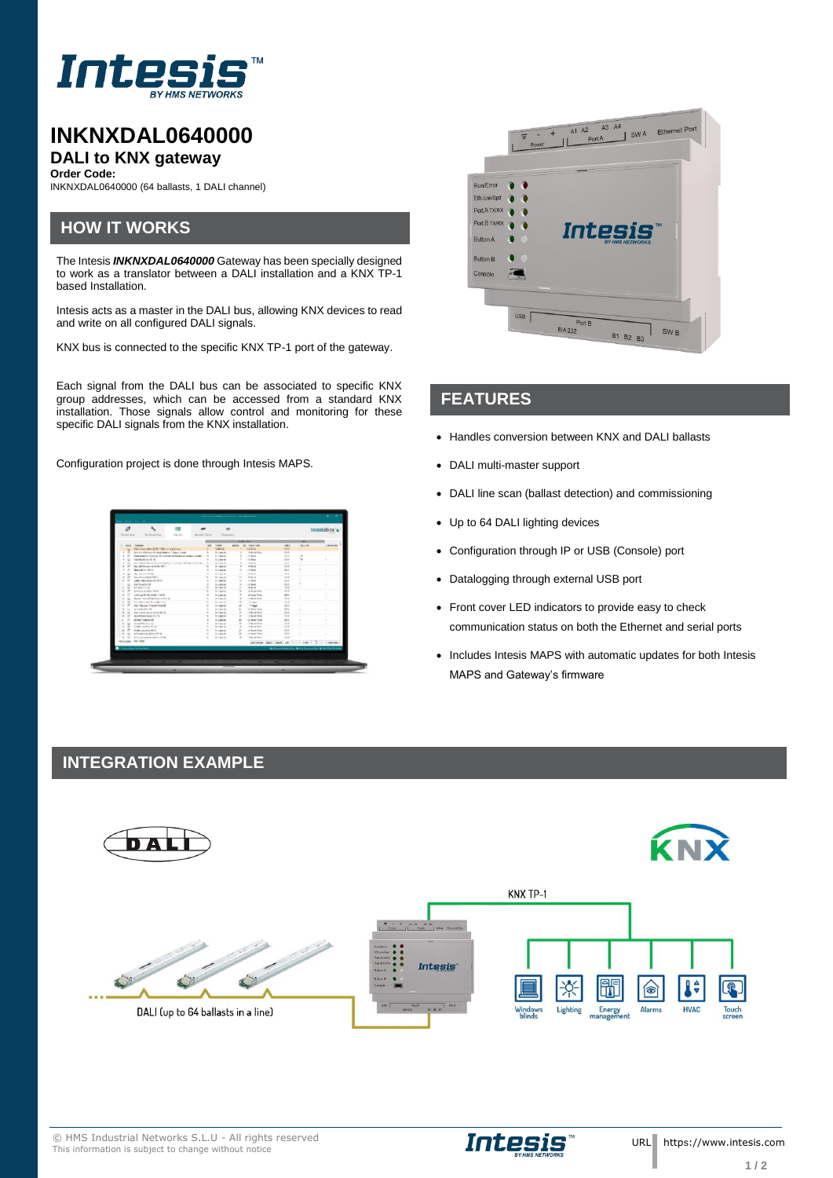

# **INKNXDAL0640000 DALI to KNX gateway**

**Order Code:**

INKNXDAL0640000 (64 ballasts, 1 DALI channel)

### **HOW IT WORKS**

The Intesis *INKNXDAL0640000* Gateway has been specially designed to work as a translator between a DALI installation and a KNX TP-1 based Installation.

Intesis acts as a master in the DALI bus, allowing KNX devices to read and write on all configured DALI signals.

KNX bus is connected to the specific KNX TP-1 port of the gateway.

Each signal from the DALI bus can be associated to specific KNX group addresses, which can be accessed from a standard KNX installation. Those signals allow control and monitoring for these specific DALI signals from the KNX installation.

Configuration project is done through Intesis MAPS.

| Growing                     | <b>Scott protion</b>                                                                     | 1.98<br><b>Tarrato</b> | Resident Econ Disposits |                                    |                           |                                                                                                                                                                                                                               |                | IntesisBox's                                     |
|-----------------------------|------------------------------------------------------------------------------------------|------------------------|-------------------------|------------------------------------|---------------------------|-------------------------------------------------------------------------------------------------------------------------------------------------------------------------------------------------------------------------------|----------------|--------------------------------------------------|
|                             |                                                                                          |                        |                         |                                    |                           |                                                                                                                                                                                                                               |                |                                                  |
| and Course.                 |                                                                                          |                        | 158                     | <b>TRANE</b>                       | amon. All restricts.      | $-11$                                                                                                                                                                                                                         | <b>DOLLARS</b> | <b>MATER</b>                                     |
|                             | <b>Blue/And Audit Han Footback</b>                                                       |                        |                         | 4.84.4                             | <b>SERVICE</b>            | <b>TER</b>                                                                                                                                                                                                                    |                |                                                  |
|                             | form a little heart it come business them made                                           |                        |                         | <b>Bulletin</b>                    | <b>Advertise</b>          | 16.0                                                                                                                                                                                                                          |                |                                                  |
| $\overline{a}$              | Experience in the first security and construct to the party of the party of the first of |                        |                         | A calendar                         | $-2.504$                  | 444                                                                                                                                                                                                                           |                |                                                  |
| ×                           | have been than 100 fall                                                                  |                        |                         | <b>B. Linkered</b>                 | $-5$ hair                 | 728                                                                                                                                                                                                                           | 78             | ×                                                |
| $\sim$                      | <b>MOLECULOUS CONTRACTOR IN CREW CARD - I</b>                                            |                        |                         | <b>ALCOHOL</b>                     | <b>CALL</b>               | <b>Card</b>                                                                                                                                                                                                                   |                |                                                  |
| и                           | Part of the sum in children tilt of                                                      |                        |                         | <b>Burneyer</b>                    | <b>BRIA</b>               | 19.8                                                                                                                                                                                                                          |                |                                                  |
| ٠                           | <b>INSANDA SESI</b>                                                                      |                        |                         | 5.2MHHZ                            | $-$ 0.0 May 6             | $-0.04$                                                                                                                                                                                                                       |                | ٠                                                |
| ×                           | business this month.                                                                     |                        |                         | <b>Witness</b>                     | $-0.9 - 0.$               | $-0.0$                                                                                                                                                                                                                        |                |                                                  |
| ×                           | have to publish (19 c.)                                                                  |                        |                         | <b>Billenard</b>                   | 84.4                      | <b>VM</b>                                                                                                                                                                                                                     |                |                                                  |
| ×                           | Some interpretation in the                                                               |                        |                         | <b>Purpose</b>                     | $-$ 0.000 $+$             | <b>SAM</b><br>224                                                                                                                                                                                                             |                |                                                  |
| u<br>$\sim$                 | <b>Saffragha FE</b><br><b>BARNER</b>                                                     |                        |                         | <b>S. Jakow</b><br><b>RIGHT</b>    | $-3.3$ South<br>$8.9 - 4$ | $-10$                                                                                                                                                                                                                         |                |                                                  |
| $\mathbf{r}$<br>×<br>$\sim$ | Authentical Most Artist                                                                  |                        |                         | <b>B-Ingenie</b>                   | A Britainian              | $100 - 100$                                                                                                                                                                                                                   |                |                                                  |
| p                           | Authorized McAnada and Customer                                                          |                        |                         |                                    | $-15$ Sections            | MAN.                                                                                                                                                                                                                          |                |                                                  |
|                             | by the Chinese Schwarthouse Arizona dal-                                                 |                        |                         | <b>Burdened</b><br><b>Williams</b> | 1.0 BARTESA               | $5.3 - 0.1$                                                                                                                                                                                                                   |                |                                                  |
| $\sim$                      | <b>Building and Charles Card</b>                                                         |                        |                         | A career                           | <b>START</b>              | $-0.4$                                                                                                                                                                                                                        |                |                                                  |
|                             | for his av 11 hoditated                                                                  |                        |                         | 5. Veland                          | . Thisse                  | <b>DER</b>                                                                                                                                                                                                                    |                |                                                  |
| $\sim$                      | for familiar 45                                                                          |                        |                         | <b>Burdened</b>                    | and fundation.            | <b>SALE</b>                                                                                                                                                                                                                   |                |                                                  |
| $\mathbf{r}$                | <b>But Lead and Ann By N</b>                                                             |                        |                         | <b>Millenand</b>                   | $-0.8 - 0.794$            | <b>HAW</b>                                                                                                                                                                                                                    |                |                                                  |
| $\overline{\phantom{a}}$    | Charles the country of a 19-                                                             |                        |                         | <b>B</b> counter                   | A face line               | $-44$                                                                                                                                                                                                                         |                |                                                  |
| ×                           | <b>British Toyota AV</b>                                                                 |                        |                         | <b>D. Jakowi</b>                   | L.S. Body Hills           | 288                                                                                                                                                                                                                           | ٠              |                                                  |
| w                           | Winds Ray Tor 102                                                                        |                        |                         | <b>Bulleting</b>                   | a de designitivo          | 14.4                                                                                                                                                                                                                          | ÷              |                                                  |
| ٠                           | and charge for the ter-                                                                  |                        |                         | A case of                          | A & Ar Alla               | <b>MAK</b>                                                                                                                                                                                                                    |                |                                                  |
| $\equiv$<br>×               | Smiths cauching date of                                                                  |                        |                         | <b>Richmond</b>                    | LE BANK THE               | $-1.6$                                                                                                                                                                                                                        |                |                                                  |
|                             | Advertising the Advertising Con-                                                         |                        |                         | A career                           | 1 is bear from            | <b>AGE</b>                                                                                                                                                                                                                    |                |                                                  |
| $\sim$                      | <b>All - Minister experiences</b> to the                                                 |                        |                         | <b>Bissun</b>                      | LA Artist                 | 148                                                                                                                                                                                                                           |                |                                                  |
| Minimum Stridge             |                                                                                          |                        |                         |                                    |                           |                                                                                                                                                                                                                               |                |                                                  |
| <b>Transport Privated</b>   |                                                                                          |                        |                         |                                    |                           |                                                                                                                                                                                                                               |                | declinessmeador & frantessments & correctivities |
|                             |                                                                                          |                        |                         |                                    |                           |                                                                                                                                                                                                                               |                |                                                  |
|                             | <u>en provincia de la constanti</u>                                                      |                        |                         |                                    |                           | the control of the control of the control of the control of the control of the control of the control of the control of the control of the control of the control of the control of the control of the control of the control |                |                                                  |



#### **FEATURES**

- Handles conversion between KNX and DALI ballasts
- DALI multi-master support
- DALI line scan (ballast detection) and commissioning
- Up to 64 DALI lighting devices

Intesis

- Configuration through IP or USB (Console) port
- Datalogging through external USB port
- Front cover LED indicators to provide easy to check communication status on both the Ethernet and serial ports
- Includes Intesis MAPS with automatic updates for both Intesis MAPS and Gateway's firmware

#### **INTEGRATION EXAMPLE**